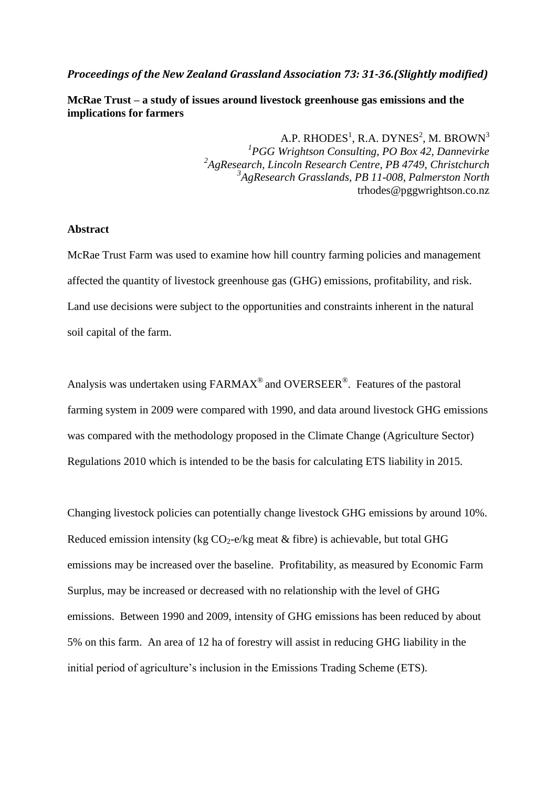### *Proceedings of the New Zealand Grassland Association 73: 31-36.(Slightly modified)*

**McRae Trust – a study of issues around livestock greenhouse gas emissions and the implications for farmers**

> A.P. RHODES $^1$ , R.A. DYNES $^2$ , M. BROWN $^3$ *1 PGG Wrightson Consulting, PO Box 42, Dannevirke 2 AgResearch, Lincoln Research Centre, PB 4749, Christchurch 3 AgResearch Grasslands, PB 11-008, Palmerston North* trhodes@pggwrightson.co.nz

#### **Abstract**

McRae Trust Farm was used to examine how hill country farming policies and management affected the quantity of livestock greenhouse gas (GHG) emissions, profitability, and risk. Land use decisions were subject to the opportunities and constraints inherent in the natural soil capital of the farm.

Analysis was undertaken using  $FARMAX^{\circledast}$  and OVERSEER<sup>®</sup>. Features of the pastoral farming system in 2009 were compared with 1990, and data around livestock GHG emissions was compared with the methodology proposed in the Climate Change (Agriculture Sector) Regulations 2010 which is intended to be the basis for calculating ETS liability in 2015.

Changing livestock policies can potentially change livestock GHG emissions by around 10%. Reduced emission intensity (kg  $CO_2$ -e/kg meat & fibre) is achievable, but total GHG emissions may be increased over the baseline. Profitability, as measured by Economic Farm Surplus, may be increased or decreased with no relationship with the level of GHG emissions. Between 1990 and 2009, intensity of GHG emissions has been reduced by about 5% on this farm. An area of 12 ha of forestry will assist in reducing GHG liability in the initial period of agriculture's inclusion in the Emissions Trading Scheme (ETS).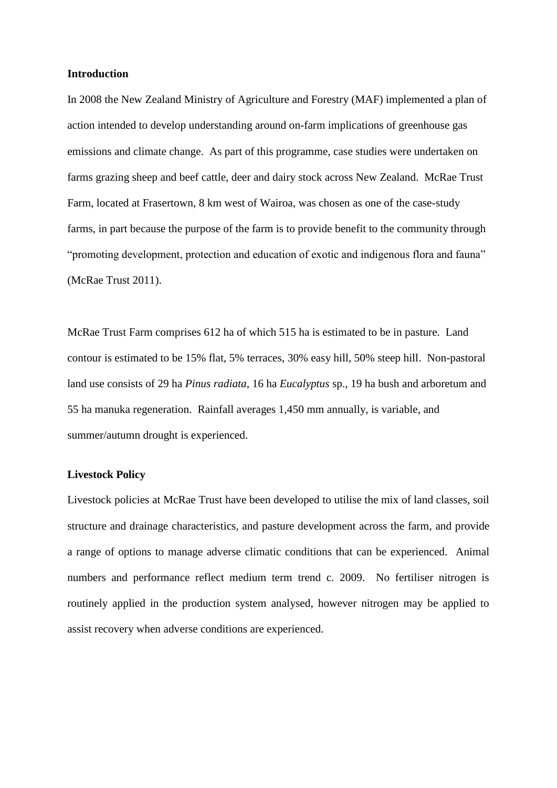#### **Introduction**

In 2008 the New Zealand Ministry of Agriculture and Forestry (MAF) implemented a plan of action intended to develop understanding around on-farm implications of greenhouse gas emissions and climate change. As part of this programme, case studies were undertaken on farms grazing sheep and beef cattle, deer and dairy stock across New Zealand. McRae Trust Farm, located at Frasertown, 8 km west of Wairoa, was chosen as one of the case-study farms, in part because the purpose of the farm is to provide benefit to the community through "promoting development, protection and education of exotic and indigenous flora and fauna" (McRae Trust 2011).

McRae Trust Farm comprises 612 ha of which 515 ha is estimated to be in pasture. Land contour is estimated to be 15% flat, 5% terraces, 30% easy hill, 50% steep hill. Non-pastoral land use consists of 29 ha *Pinus radiata*, 16 ha *Eucalyptus* sp., 19 ha bush and arboretum and 55 ha manuka regeneration. Rainfall averages 1,450 mm annually, is variable, and summer/autumn drought is experienced.

### **Livestock Policy**

Livestock policies at McRae Trust have been developed to utilise the mix of land classes, soil structure and drainage characteristics, and pasture development across the farm, and provide a range of options to manage adverse climatic conditions that can be experienced. Animal numbers and performance reflect medium term trend c. 2009. No fertiliser nitrogen is routinely applied in the production system analysed, however nitrogen may be applied to assist recovery when adverse conditions are experienced.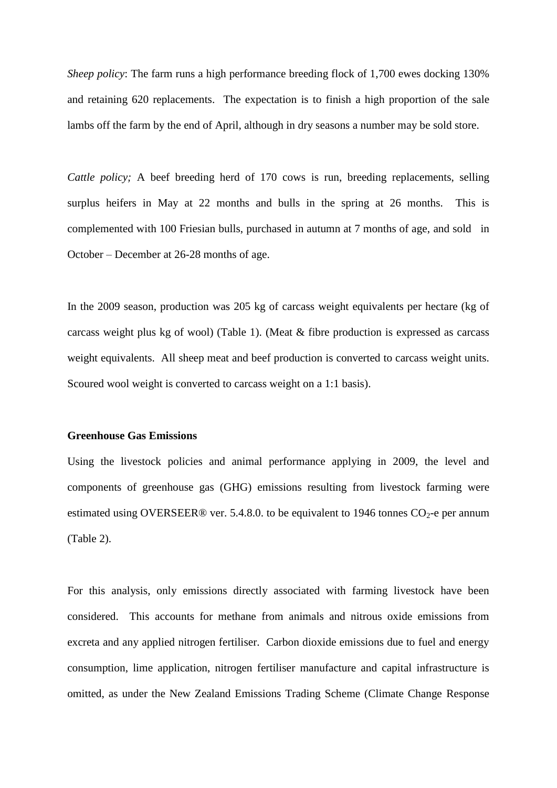*Sheep policy*: The farm runs a high performance breeding flock of 1,700 ewes docking 130% and retaining 620 replacements. The expectation is to finish a high proportion of the sale lambs off the farm by the end of April, although in dry seasons a number may be sold store.

*Cattle policy;* A beef breeding herd of 170 cows is run, breeding replacements, selling surplus heifers in May at 22 months and bulls in the spring at 26 months. This is complemented with 100 Friesian bulls, purchased in autumn at 7 months of age, and sold in October – December at 26-28 months of age.

In the 2009 season, production was 205 kg of carcass weight equivalents per hectare (kg of carcass weight plus kg of wool) (Table 1). (Meat & fibre production is expressed as carcass weight equivalents. All sheep meat and beef production is converted to carcass weight units. Scoured wool weight is converted to carcass weight on a 1:1 basis).

## **Greenhouse Gas Emissions**

Using the livestock policies and animal performance applying in 2009, the level and components of greenhouse gas (GHG) emissions resulting from livestock farming were estimated using OVERSEER® ver. 5.4.8.0. to be equivalent to 1946 tonnes  $CO<sub>2</sub>$ -e per annum (Table 2).

For this analysis, only emissions directly associated with farming livestock have been considered. This accounts for methane from animals and nitrous oxide emissions from excreta and any applied nitrogen fertiliser. Carbon dioxide emissions due to fuel and energy consumption, lime application, nitrogen fertiliser manufacture and capital infrastructure is omitted, as under the New Zealand Emissions Trading Scheme (Climate Change Response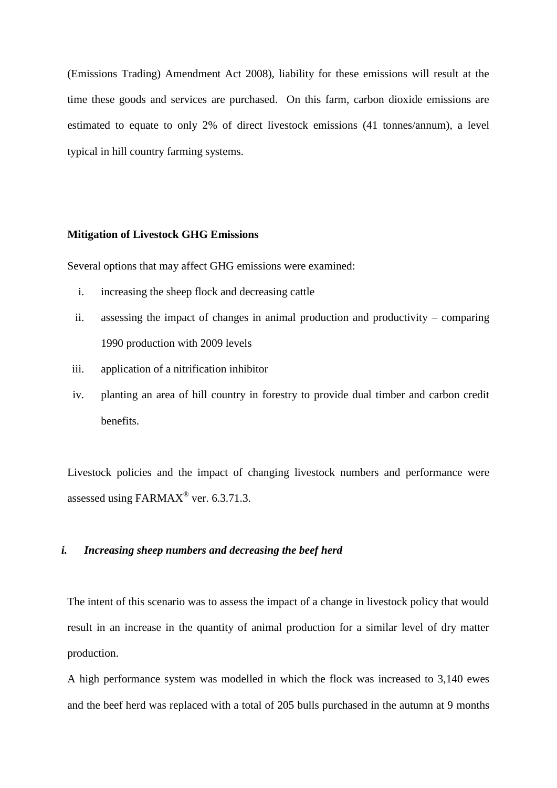(Emissions Trading) Amendment Act 2008), liability for these emissions will result at the time these goods and services are purchased. On this farm, carbon dioxide emissions are estimated to equate to only 2% of direct livestock emissions (41 tonnes/annum), a level typical in hill country farming systems.

# **Mitigation of Livestock GHG Emissions**

Several options that may affect GHG emissions were examined:

- i. increasing the sheep flock and decreasing cattle
- ii. assessing the impact of changes in animal production and productivity comparing 1990 production with 2009 levels
- iii. application of a nitrification inhibitor
- iv. planting an area of hill country in forestry to provide dual timber and carbon credit benefits.

Livestock policies and the impact of changing livestock numbers and performance were assessed using FARMAX<sup>®</sup> ver. 6.3.71.3.

## *i. Increasing sheep numbers and decreasing the beef herd*

The intent of this scenario was to assess the impact of a change in livestock policy that would result in an increase in the quantity of animal production for a similar level of dry matter production.

A high performance system was modelled in which the flock was increased to 3,140 ewes and the beef herd was replaced with a total of 205 bulls purchased in the autumn at 9 months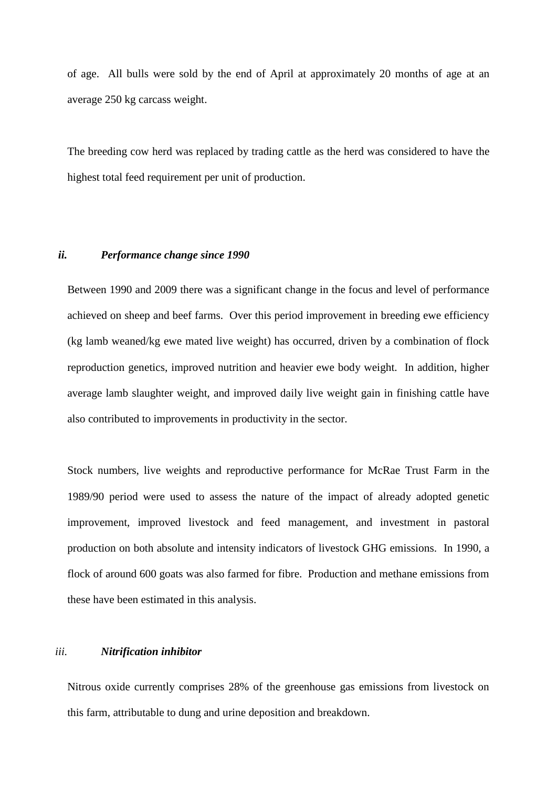of age. All bulls were sold by the end of April at approximately 20 months of age at an average 250 kg carcass weight.

The breeding cow herd was replaced by trading cattle as the herd was considered to have the highest total feed requirement per unit of production.

#### *ii. Performance change since 1990*

Between 1990 and 2009 there was a significant change in the focus and level of performance achieved on sheep and beef farms. Over this period improvement in breeding ewe efficiency (kg lamb weaned/kg ewe mated live weight) has occurred, driven by a combination of flock reproduction genetics, improved nutrition and heavier ewe body weight. In addition, higher average lamb slaughter weight, and improved daily live weight gain in finishing cattle have also contributed to improvements in productivity in the sector.

Stock numbers, live weights and reproductive performance for McRae Trust Farm in the 1989/90 period were used to assess the nature of the impact of already adopted genetic improvement, improved livestock and feed management, and investment in pastoral production on both absolute and intensity indicators of livestock GHG emissions. In 1990, a flock of around 600 goats was also farmed for fibre. Production and methane emissions from these have been estimated in this analysis.

## *iii. Nitrification inhibitor*

Nitrous oxide currently comprises 28% of the greenhouse gas emissions from livestock on this farm, attributable to dung and urine deposition and breakdown.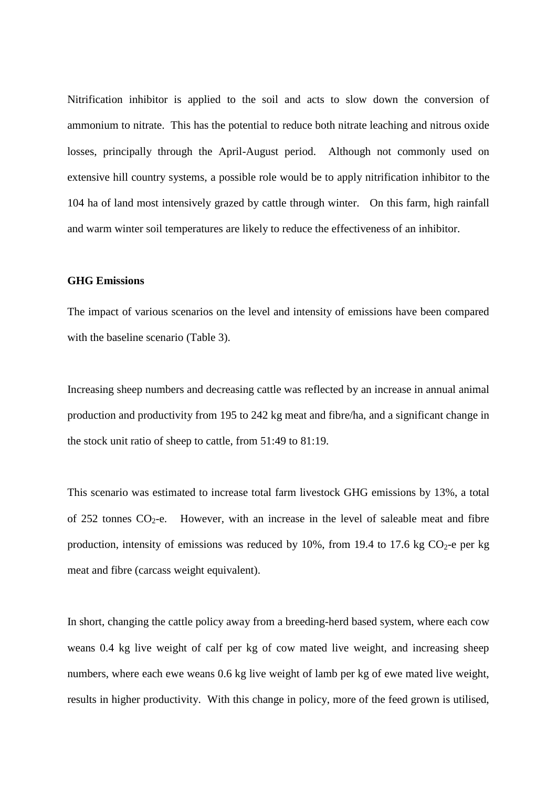Nitrification inhibitor is applied to the soil and acts to slow down the conversion of ammonium to nitrate. This has the potential to reduce both nitrate leaching and nitrous oxide losses, principally through the April-August period. Although not commonly used on extensive hill country systems, a possible role would be to apply nitrification inhibitor to the 104 ha of land most intensively grazed by cattle through winter. On this farm, high rainfall and warm winter soil temperatures are likely to reduce the effectiveness of an inhibitor.

#### **GHG Emissions**

The impact of various scenarios on the level and intensity of emissions have been compared with the baseline scenario (Table 3).

Increasing sheep numbers and decreasing cattle was reflected by an increase in annual animal production and productivity from 195 to 242 kg meat and fibre/ha, and a significant change in the stock unit ratio of sheep to cattle, from 51:49 to 81:19.

This scenario was estimated to increase total farm livestock GHG emissions by 13%, a total of 252 tonnes  $CO_2$ -e. However, with an increase in the level of saleable meat and fibre production, intensity of emissions was reduced by 10%, from 19.4 to 17.6 kg  $CO<sub>2</sub>$ -e per kg meat and fibre (carcass weight equivalent).

In short, changing the cattle policy away from a breeding-herd based system, where each cow weans 0.4 kg live weight of calf per kg of cow mated live weight, and increasing sheep numbers, where each ewe weans 0.6 kg live weight of lamb per kg of ewe mated live weight, results in higher productivity. With this change in policy, more of the feed grown is utilised,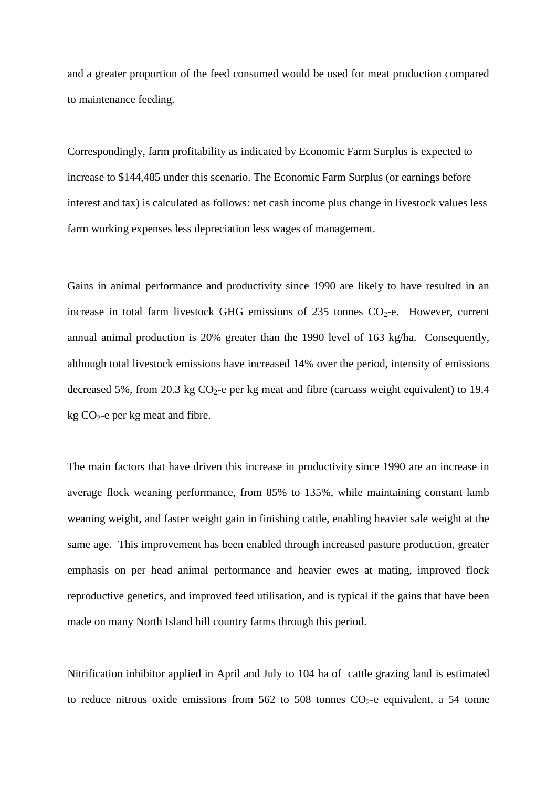and a greater proportion of the feed consumed would be used for meat production compared to maintenance feeding.

Correspondingly, farm profitability as indicated by Economic Farm Surplus is expected to increase to \$144,485 under this scenario. The Economic Farm Surplus (or earnings before interest and tax) is calculated as follows: net cash income plus change in livestock values less farm working expenses less depreciation less wages of management.

Gains in animal performance and productivity since 1990 are likely to have resulted in an increase in total farm livestock GHG emissions of 235 tonnes  $CO<sub>2</sub>$ -e. However, current annual animal production is 20% greater than the 1990 level of 163 kg/ha. Consequently, although total livestock emissions have increased 14% over the period, intensity of emissions decreased 5%, from 20.3 kg  $CO<sub>2</sub>$ -e per kg meat and fibre (carcass weight equivalent) to 19.4 kg  $CO_2$ -e per kg meat and fibre.

The main factors that have driven this increase in productivity since 1990 are an increase in average flock weaning performance, from 85% to 135%, while maintaining constant lamb weaning weight, and faster weight gain in finishing cattle, enabling heavier sale weight at the same age. This improvement has been enabled through increased pasture production, greater emphasis on per head animal performance and heavier ewes at mating, improved flock reproductive genetics, and improved feed utilisation, and is typical if the gains that have been made on many North Island hill country farms through this period.

Nitrification inhibitor applied in April and July to 104 ha of cattle grazing land is estimated to reduce nitrous oxide emissions from  $562$  to  $508$  tonnes  $CO<sub>2</sub>$ -e equivalent, a 54 tonne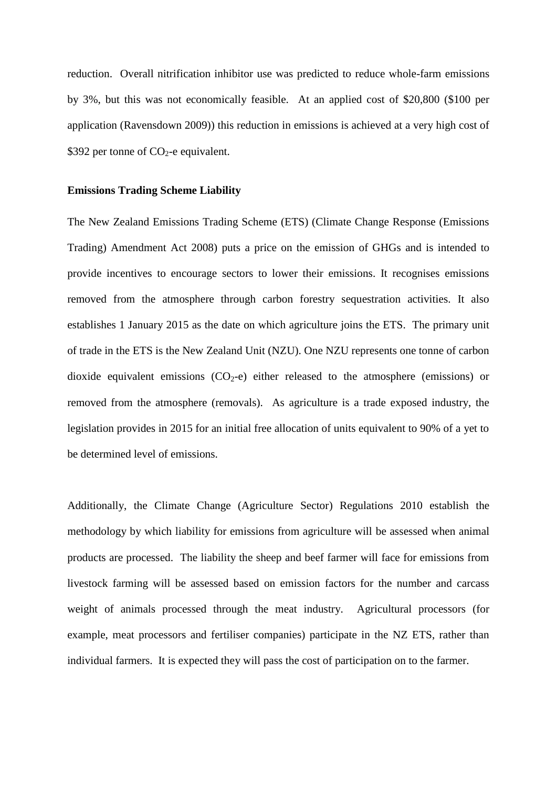reduction. Overall nitrification inhibitor use was predicted to reduce whole-farm emissions by 3%, but this was not economically feasible. At an applied cost of \$20,800 (\$100 per application (Ravensdown 2009)) this reduction in emissions is achieved at a very high cost of \$392 per tonne of  $CO<sub>2</sub>$ -e equivalent.

#### **Emissions Trading Scheme Liability**

The New Zealand Emissions Trading Scheme (ETS) (Climate Change Response (Emissions Trading) Amendment Act 2008) puts a price on the emission of GHGs and is intended to provide incentives to encourage sectors to lower their emissions. It recognises emissions removed from the atmosphere through carbon forestry sequestration activities. It also establishes 1 January 2015 as the date on which agriculture joins the ETS. The primary unit of trade in the ETS is the New Zealand Unit (NZU). One NZU represents one tonne of carbon dioxide equivalent emissions  $(CO<sub>2</sub>-e)$  either released to the atmosphere (emissions) or removed from the atmosphere (removals). As agriculture is a trade exposed industry, the legislation provides in 2015 for an initial free allocation of units equivalent to 90% of a yet to be determined level of emissions.

Additionally, the Climate Change (Agriculture Sector) Regulations 2010 establish the methodology by which liability for emissions from agriculture will be assessed when animal products are processed. The liability the sheep and beef farmer will face for emissions from livestock farming will be assessed based on emission factors for the number and carcass weight of animals processed through the meat industry. Agricultural processors (for example, meat processors and fertiliser companies) participate in the NZ ETS, rather than individual farmers. It is expected they will pass the cost of participation on to the farmer.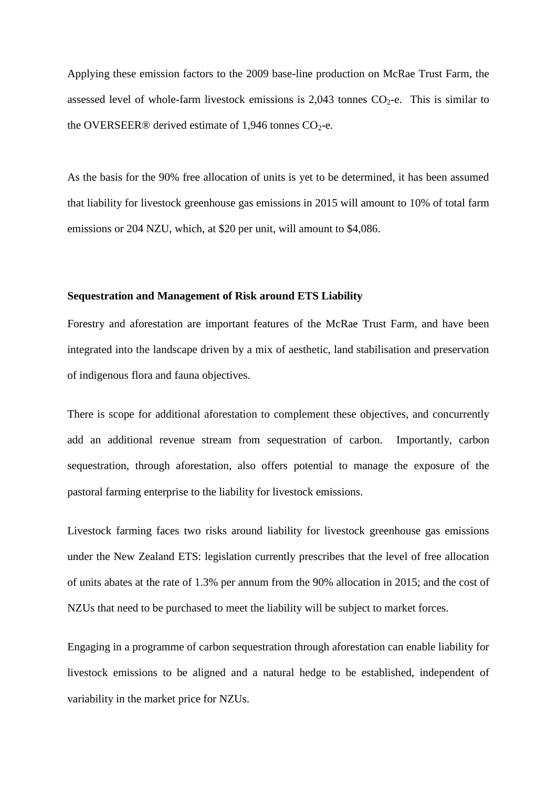Applying these emission factors to the 2009 base-line production on McRae Trust Farm, the assessed level of whole-farm livestock emissions is  $2,043$  tonnes  $CO<sub>2</sub>$ -e. This is similar to the OVERSEER® derived estimate of 1,946 tonnes  $CO<sub>2</sub>$ -e.

As the basis for the 90% free allocation of units is yet to be determined, it has been assumed that liability for livestock greenhouse gas emissions in 2015 will amount to 10% of total farm emissions or 204 NZU, which, at \$20 per unit, will amount to \$4,086.

#### **Sequestration and Management of Risk around ETS Liability**

Forestry and aforestation are important features of the McRae Trust Farm, and have been integrated into the landscape driven by a mix of aesthetic, land stabilisation and preservation of indigenous flora and fauna objectives.

There is scope for additional aforestation to complement these objectives, and concurrently add an additional revenue stream from sequestration of carbon. Importantly, carbon sequestration, through aforestation, also offers potential to manage the exposure of the pastoral farming enterprise to the liability for livestock emissions.

Livestock farming faces two risks around liability for livestock greenhouse gas emissions under the New Zealand ETS: legislation currently prescribes that the level of free allocation of units abates at the rate of 1.3% per annum from the 90% allocation in 2015; and the cost of NZUs that need to be purchased to meet the liability will be subject to market forces.

Engaging in a programme of carbon sequestration through aforestation can enable liability for livestock emissions to be aligned and a natural hedge to be established, independent of variability in the market price for NZUs.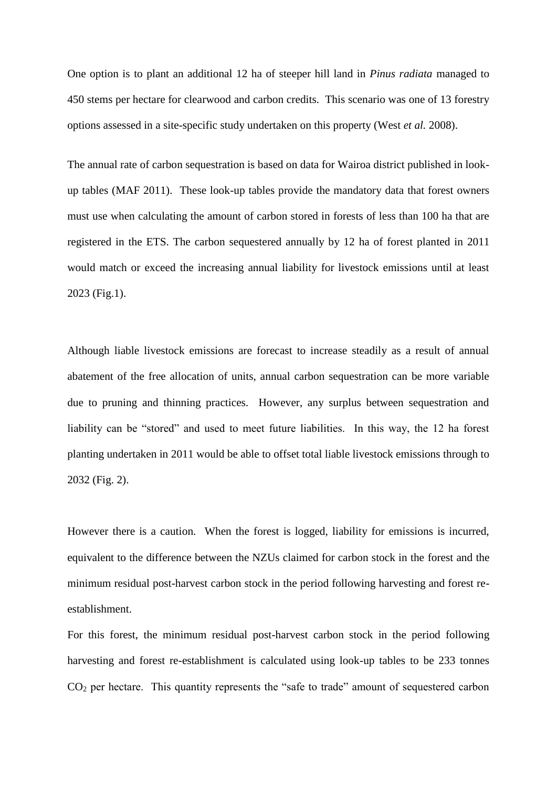One option is to plant an additional 12 ha of steeper hill land in *Pinus radiata* managed to 450 stems per hectare for clearwood and carbon credits. This scenario was one of 13 forestry options assessed in a site-specific study undertaken on this property (West *et al.* 2008).

The annual rate of carbon sequestration is based on data for Wairoa district published in lookup tables (MAF 2011). These look-up tables provide the mandatory data that forest owners must use when calculating the amount of carbon stored in forests of less than 100 ha that are registered in the ETS. The carbon sequestered annually by 12 ha of forest planted in 2011 would match or exceed the increasing annual liability for livestock emissions until at least 2023 (Fig.1).

Although liable livestock emissions are forecast to increase steadily as a result of annual abatement of the free allocation of units, annual carbon sequestration can be more variable due to pruning and thinning practices. However, any surplus between sequestration and liability can be "stored" and used to meet future liabilities. In this way, the 12 ha forest planting undertaken in 2011 would be able to offset total liable livestock emissions through to 2032 (Fig. 2).

However there is a caution. When the forest is logged, liability for emissions is incurred, equivalent to the difference between the NZUs claimed for carbon stock in the forest and the minimum residual post-harvest carbon stock in the period following harvesting and forest reestablishment.

For this forest, the minimum residual post-harvest carbon stock in the period following harvesting and forest re-establishment is calculated using look-up tables to be 233 tonnes CO<sup>2</sup> per hectare. This quantity represents the "safe to trade" amount of sequestered carbon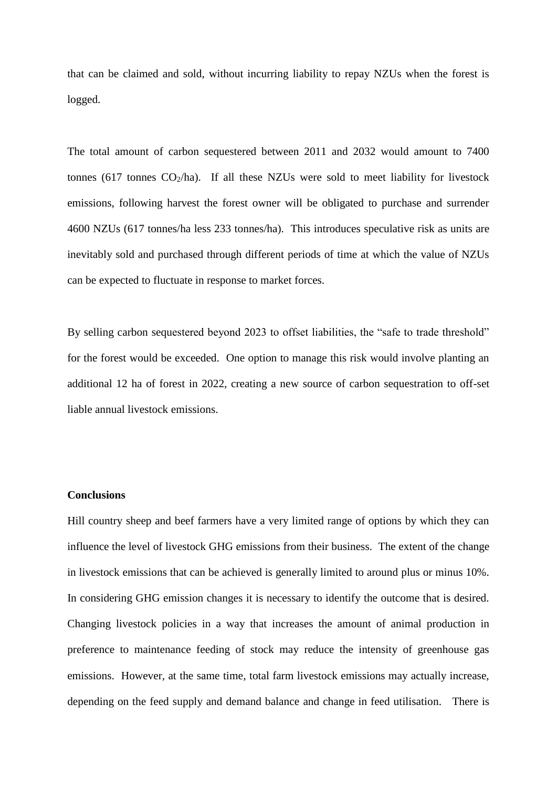that can be claimed and sold, without incurring liability to repay NZUs when the forest is logged.

The total amount of carbon sequestered between 2011 and 2032 would amount to 7400 tonnes (617 tonnes  $CO_2/ha$ ). If all these NZUs were sold to meet liability for livestock emissions, following harvest the forest owner will be obligated to purchase and surrender 4600 NZUs (617 tonnes/ha less 233 tonnes/ha). This introduces speculative risk as units are inevitably sold and purchased through different periods of time at which the value of NZUs can be expected to fluctuate in response to market forces.

By selling carbon sequestered beyond 2023 to offset liabilities, the "safe to trade threshold" for the forest would be exceeded. One option to manage this risk would involve planting an additional 12 ha of forest in 2022, creating a new source of carbon sequestration to off-set liable annual livestock emissions.

### **Conclusions**

Hill country sheep and beef farmers have a very limited range of options by which they can influence the level of livestock GHG emissions from their business. The extent of the change in livestock emissions that can be achieved is generally limited to around plus or minus 10%. In considering GHG emission changes it is necessary to identify the outcome that is desired. Changing livestock policies in a way that increases the amount of animal production in preference to maintenance feeding of stock may reduce the intensity of greenhouse gas emissions. However, at the same time, total farm livestock emissions may actually increase, depending on the feed supply and demand balance and change in feed utilisation. There is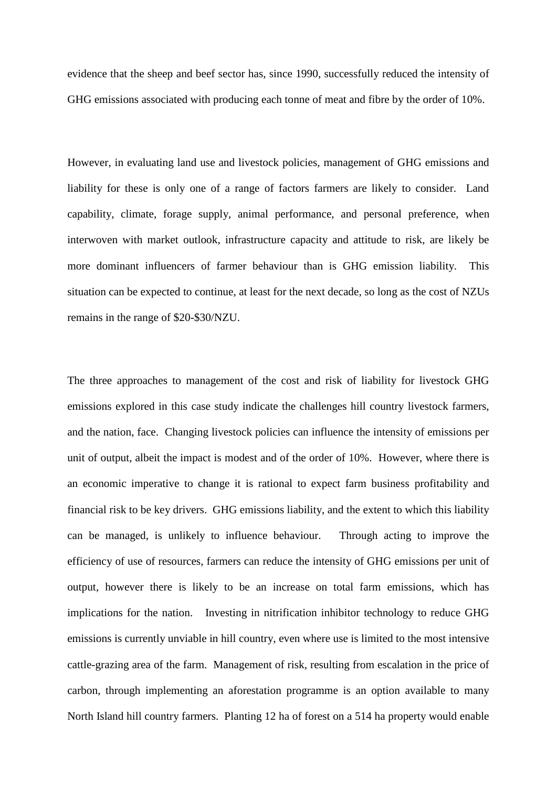evidence that the sheep and beef sector has, since 1990, successfully reduced the intensity of GHG emissions associated with producing each tonne of meat and fibre by the order of 10%.

However, in evaluating land use and livestock policies, management of GHG emissions and liability for these is only one of a range of factors farmers are likely to consider. Land capability, climate, forage supply, animal performance, and personal preference, when interwoven with market outlook, infrastructure capacity and attitude to risk, are likely be more dominant influencers of farmer behaviour than is GHG emission liability. This situation can be expected to continue, at least for the next decade, so long as the cost of NZUs remains in the range of \$20-\$30/NZU.

The three approaches to management of the cost and risk of liability for livestock GHG emissions explored in this case study indicate the challenges hill country livestock farmers, and the nation, face. Changing livestock policies can influence the intensity of emissions per unit of output, albeit the impact is modest and of the order of 10%. However, where there is an economic imperative to change it is rational to expect farm business profitability and financial risk to be key drivers. GHG emissions liability, and the extent to which this liability can be managed, is unlikely to influence behaviour. Through acting to improve the efficiency of use of resources, farmers can reduce the intensity of GHG emissions per unit of output, however there is likely to be an increase on total farm emissions, which has implications for the nation. Investing in nitrification inhibitor technology to reduce GHG emissions is currently unviable in hill country, even where use is limited to the most intensive cattle-grazing area of the farm. Management of risk, resulting from escalation in the price of carbon, through implementing an aforestation programme is an option available to many North Island hill country farmers. Planting 12 ha of forest on a 514 ha property would enable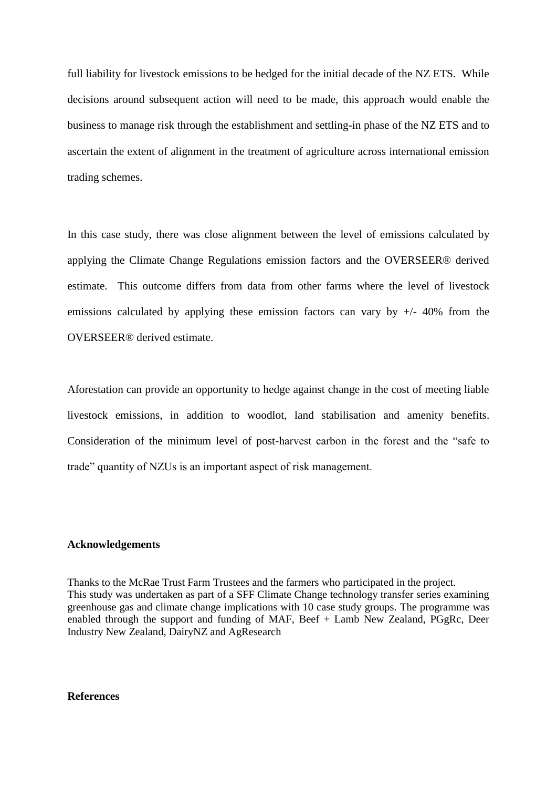full liability for livestock emissions to be hedged for the initial decade of the NZ ETS. While decisions around subsequent action will need to be made, this approach would enable the business to manage risk through the establishment and settling-in phase of the NZ ETS and to ascertain the extent of alignment in the treatment of agriculture across international emission trading schemes.

In this case study, there was close alignment between the level of emissions calculated by applying the Climate Change Regulations emission factors and the OVERSEER® derived estimate. This outcome differs from data from other farms where the level of livestock emissions calculated by applying these emission factors can vary by  $+/- 40\%$  from the OVERSEER® derived estimate.

Aforestation can provide an opportunity to hedge against change in the cost of meeting liable livestock emissions, in addition to woodlot, land stabilisation and amenity benefits. Consideration of the minimum level of post-harvest carbon in the forest and the "safe to trade" quantity of NZUs is an important aspect of risk management.

## **Acknowledgements**

Thanks to the McRae Trust Farm Trustees and the farmers who participated in the project. This study was undertaken as part of a SFF Climate Change technology transfer series examining greenhouse gas and climate change implications with 10 case study groups. The programme was enabled through the support and funding of MAF, Beef + Lamb New Zealand, PGgRc, Deer Industry New Zealand, DairyNZ and AgResearch

#### **References**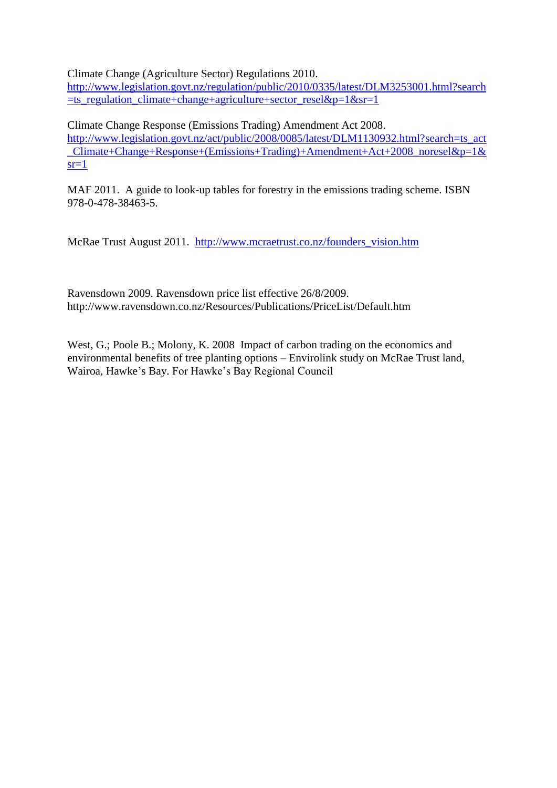Climate Change (Agriculture Sector) Regulations 2010.

[http://www.legislation.govt.nz/regulation/public/2010/0335/latest/DLM3253001.html?search](http://www.legislation.govt.nz/regulation/public/2010/0335/latest/DLM3253001.html?search=ts_regulation_climate+change+agriculture+sector_resel&p=1&sr=1)  $=$ ts\_regulation\_climate+change+agriculture+sector\_resel&p=1&sr=1

Climate Change Response (Emissions Trading) Amendment Act 2008. [http://www.legislation.govt.nz/act/public/2008/0085/latest/DLM1130932.html?search=ts\\_act](http://www.legislation.govt.nz/act/public/2008/0085/latest/DLM1130932.html?search=ts_act_Climate+Change+Response+(Emissions+Trading)+Amendment+Act+2008_noresel&p=1&sr=1) [\\_Climate+Change+Response+\(Emissions+Trading\)+Amendment+Act+2008\\_noresel&p=1&](http://www.legislation.govt.nz/act/public/2008/0085/latest/DLM1130932.html?search=ts_act_Climate+Change+Response+(Emissions+Trading)+Amendment+Act+2008_noresel&p=1&sr=1)  $sr=1$ 

MAF 2011. A guide to look-up tables for forestry in the emissions trading scheme. ISBN 978-0-478-38463-5.

McRae Trust August 2011. [http://www.mcraetrust.co.nz/founders\\_vision.htm](http://www.mcraetrust.co.nz/founders_vision.htm)

Ravensdown 2009. Ravensdown price list effective 26/8/2009. http://www.ravensdown.co.nz/Resources/Publications/PriceList/Default.htm

West, G.; Poole B.; Molony, K. 2008 Impact of carbon trading on the economics and environmental benefits of tree planting options – Envirolink study on McRae Trust land, Wairoa, Hawke's Bay. For Hawke's Bay Regional Council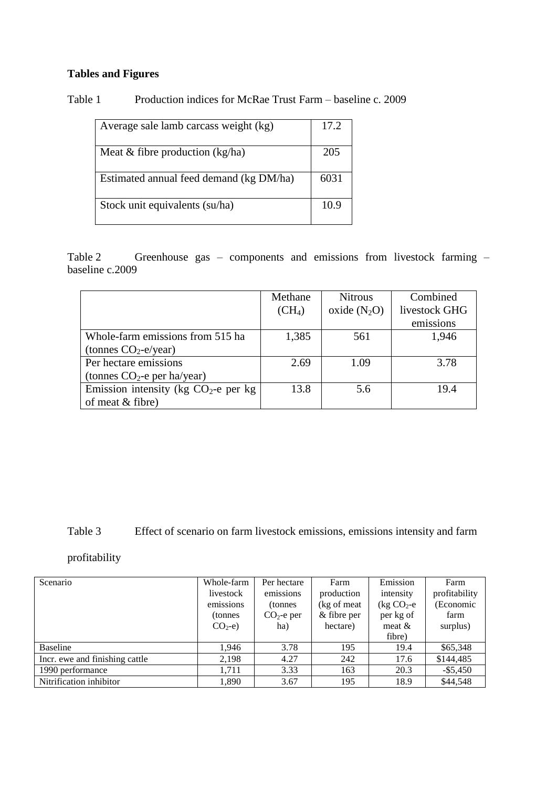# **Tables and Figures**

| Table 1 |  | Production indices for McRae Trust Farm – baseline c. 2009 |  |
|---------|--|------------------------------------------------------------|--|
|         |  |                                                            |  |

| Average sale lamb carcass weight (kg)   | 17.2 |
|-----------------------------------------|------|
| Meat $&$ fibre production (kg/ha)       | 205  |
| Estimated annual feed demand (kg DM/ha) | 6031 |
| Stock unit equivalents (su/ha)          | 10.9 |

Table 2 Greenhouse gas – components and emissions from livestock farming – baseline c.2009

|                                        | Methane            | <b>Nitrous</b> | Combined      |
|----------------------------------------|--------------------|----------------|---------------|
|                                        | (CH <sub>4</sub> ) | oxide $(N_2O)$ | livestock GHG |
|                                        |                    |                | emissions     |
| Whole-farm emissions from 515 ha       | 1,385              | 561            | 1,946         |
| (tonnes $CO_2$ -e/year)                |                    |                |               |
| Per hectare emissions                  | 2.69               | 1.09           | 3.78          |
| (tonnes $CO_2$ -e per ha/year)         |                    |                |               |
| Emission intensity (kg $CO2$ -e per kg | 13.8               | 5.6            | 19.4          |
| of meat $&$ fibre)                     |                    |                |               |

Table 3 Effect of scenario on farm livestock emissions, emissions intensity and farm

profitability

| Scenario                       | Whole-farm  | Per hectare  | Farm         | Emission       | Farm          |
|--------------------------------|-------------|--------------|--------------|----------------|---------------|
|                                | livestock   | emissions    | production   | intensity      | profitability |
|                                | emissions   | (tonnes)     | (kg of meat) | $\log CO_2$ -e | (Economic     |
|                                | (tonnes)    | $CO2$ -e per | & fibre per  | per kg of      | farm          |
|                                | $CO2 - e$ ) | ha)          | hectare)     | meat $&$       | surplus)      |
|                                |             |              |              | fibre)         |               |
| Baseline                       | 1.946       | 3.78         | 195          | 19.4           | \$65,348      |
| Incr. ewe and finishing cattle | 2,198       | 4.27         | 242          | 17.6           | \$144,485     |
| 1990 performance               | 1,711       | 3.33         | 163          | 20.3           | $-$ \$5,450   |
| Nitrification inhibitor        | 1,890       | 3.67         | 195          | 18.9           | \$44,548      |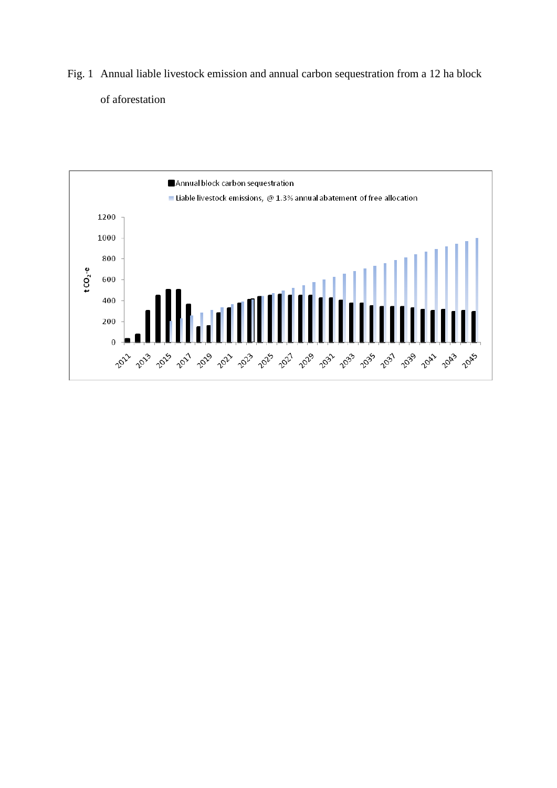Fig. 1 Annual liable livestock emission and annual carbon sequestration from a 12 ha block of aforestation